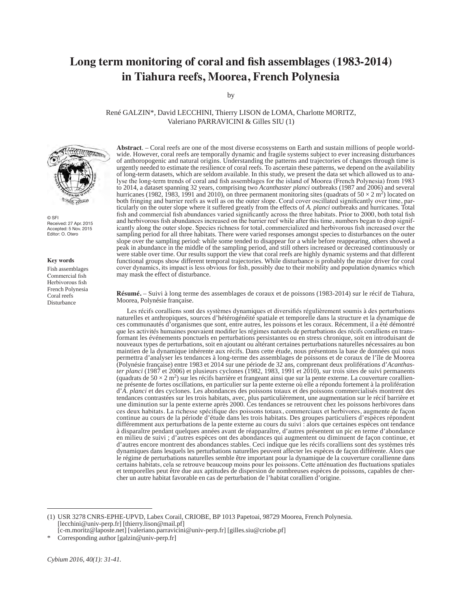# **Long term monitoring of coral and fish assemblages (1983-2014) in Tiahura reefs, Moorea, French Polynesia**

by

René GALZIN\*, David LECCHINI, Thierry LISON de LOMA, Charlotte MORITZ, Valeriano PARRAVICINI & Gilles SIU (1)



© SFI Received: 27 Apr. 2015 Accepted: 5 Nov. 2015 Editor: O. Otero

#### **Key words**

Fish assemblages Commercial fish Herbivorous fish French Polynesia Coral reefs Disturbance

**Abstract**. – Coral reefs are one of the most diverse ecosystems on Earth and sustain millions of people worldwide. However, coral reefs are temporally dynamic and fragile systems subject to ever increasing disturbances of anthoropogenic and natural origins. Understanding the patterns and trajectories of changes through time is urgently needed to estimate the resilience of coral reefs. To ascertain these patterns, we depend on the availability of long-term datasets, which are seldom available. In this study, we present the data set which allowed us to analyse the long-term trends of coral and fish assemblages for the island of Moorea (French Polynesia) from 1983 to 2014, a dataset spanning 32 years, comprising two *Acanthaster planci* outbreaks (1987 and 2006) and several hurricanes (1982, 1983, 1991 and 2010), on three permanent monitoring sites (quadrats of  $50 \times 2$  m<sup>2</sup>) located on both fringing and barrier reefs as well as on the outer slope. Coral cover oscillated significantly over time, particularly on the outer slope where it suffered greatly from the effects of *A. planci* outbreaks and hurricanes. Total fish and commercial fish abundances varied significantly across the three habitats. Prior to 2000, both total fish and herbivorous fish abundances increased on the barrier reef while after this time, numbers began to drop significantly along the outer slope. Species richness for total, commercialized and herbivorous fish increased over the sampling period for all three habitats. There were varied responses amongst species to disturbances on the outer slope over the sampling period: while some tended to disappear for a while before reappearing, others showed a peak in abundance in the middle of the sampling period, and still others increased or decreased continuously or were stable over time. Our results support the view that coral reefs are highly dynamic systems and that different functional groups show different temporal trajectories. While disturbance is probably the major driver for coral cover dynamics, its impact is less obvious for fish, possibly due to their mobility and population dynamics which may mask the effect of disturbance.

**Résumé.** – Suivi à long terme des assemblages de coraux et de poissons (1983-2014) sur le récif de Tiahura, Moorea, Polynésie française.

Les récifs coralliens sont des systèmes dynamiques et diversifiés régulièrement soumis à des perturbations naturelles et anthropiques, sources d'hétérogénéité spatiale et temporelle dans la structure et la dynamique de ces communautés d'organismes que sont, entre autres, les poissons et les coraux. Récemment, il a été démontré que les activités humaines pouvaient modifier les régimes naturels de perturbations des récifs coralliens en transformant les événements ponctuels en perturbations persistantes ou en stress chronique, soit en introduisant de nouveaux types de perturbations, soit en ajoutant ou altérant certaines perturbations naturelles nécessaires au bon maintien de la dynamique inhérente aux récifs. Dans cette étude, nous présentons la base de données qui nous permettra d'analyser les tendances à long-terme des assemblages de poissons et de coraux de l'île de Moorea (Polynésie française) entre 1983 et 2014 sur une période de 32 ans, comprenant deux proliférations d'*Acanthaster planci* (1987 et 2006) et plusieurs cyclones (1982, 1983, 1991 et 2010), sur trois sites de suivi permanents (quadrats de  $50 \times 2$  m<sup>2</sup>) sur les récifs barrière et frangeant ainsi que sur la pente externe. La couverture corallienne présente de fortes oscillations, en particulier sur la pente externe où elle a répondu fortement à la prolifération d'*A. planci* et des cyclones. Les abondances des poissons totaux et des poissons commercialisés montrent des tendances contrastées sur les trois habitats, avec, plus particulièrement, une augmentation sur le récif barrière et une diminution sur la pente externe après 2000. Ces tendances se retrouvent chez les poissons herbivores dans ces deux habitats. La richesse spécifique des poissons totaux, commerciaux et herbivores, augmente de façon continue au cours de la période d'étude dans les trois habitats. Des groupes particuliers d'espèces répondent différemment aux perturbations de la pente externe au cours du suivi : alors que certaines espèces ont tendance à disparaître pendant quelques années avant de réapparaître, d'autres présentent un pic en terme d'abondance en milieu de suivi ; d'autres espèces ont des abondances qui augmentent ou diminuent de façon continue, et d'autres encore montrent des abondances stables. Ceci indique que les récifs coralliens sont des systèmes très dynamiques dans lesquels les perturbations naturelles peuvent affecter les espèces de façon différente. Alors que le régime de perturbations naturelles semble être important pour la dynamique de la couverture corallienne dans certains habitats, cela se retrouve beaucoup moins pour les poissons. Cette atténuation des fluctuations spatiales et temporelles peut être due aux aptitudes de dispersion de nombreuses espèces de poissons, capables de cher-<br>cher un autre habitat favorable en cas de perturbation de l'habitat corallien d'origine.

(1) USR 3278 CNRS-EPHE-UPVD, Labex Corail, CRIOBE, BP 1013 Papetoai, 98729 Moorea, French Polynesia. [lecchini@univ-perp.fr] [thierry.lison@mail.pf]

<sup>[</sup>c-m.moritz@laposte.net] [valeriano.parravicini@univ-perp.fr] [gilles.siu@criobe.pf]

<sup>\*</sup> Corresponding author [galzin@univ-perp.fr]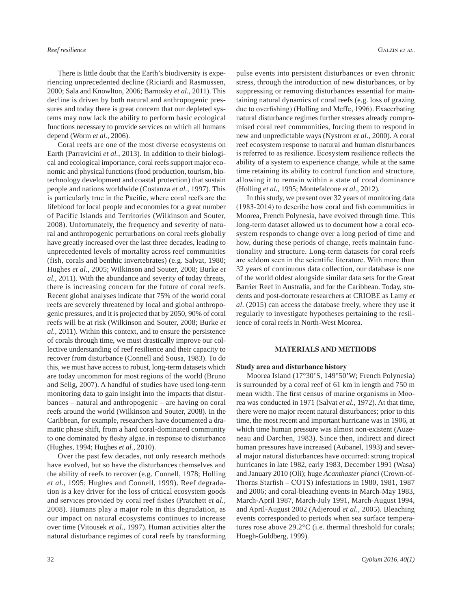There is little doubt that the Earth's biodiversity is experiencing unprecedented decline (Riciardi and Rasmussen, 2000; Sala and Knowlton, 2006; Barnosky *et al.*, 2011). This decline is driven by both natural and anthropogenic pressures and today there is great concern that our depleted systems may now lack the ability to perform basic ecological functions necessary to provide services on which all humans depend (Worm *et al.*, 2006).

Coral reefs are one of the most diverse ecosystems on Earth (Parravicini *et al.,* 2013). In addition to their biological and ecological importance, coral reefs support major economic and physical functions (food production, tourism, biotechnology development and coastal protection) that sustain people and nations worldwide (Costanza *et al.*, 1997). This is particularly true in the Pacific, where coral reefs are the lifeblood for local people and economies for a great number of Pacific Islands and Territories (Wilkinson and Souter, 2008). Unfortunately, the frequency and severity of natural and anthropogenic perturbations on coral reefs globally have greatly increased over the last three decades, leading to unprecedented levels of mortality across reef communities (fish, corals and benthic invertebrates) (e.g. Salvat, 1980; Hughes *et al.*, 2005; Wilkinson and Souter, 2008; Burke *et al.*, 2011). With the abundance and severity of today threats, there is increasing concern for the future of coral reefs. Recent global analyses indicate that 75% of the world coral reefs are severely threatened by local and global anthropogenic pressures, and it is projected that by 2050, 90% of coral reefs will be at risk (Wilkinson and Souter, 2008; Burke *et al.,* 2011). Within this context, and to ensure the persistence of corals through time, we must drastically improve our collective understanding of reef resilience and their capacity to recover from disturbance (Connell and Sousa, 1983). To do this, we must have access to robust, long-term datasets which are today uncommon for most regions of the world (Bruno and Selig, 2007). A handful of studies have used long-term monitoring data to gain insight into the impacts that disturbances – natural and anthropogenic – are having on coral reefs around the world (Wilkinson and Souter, 2008). In the Caribbean, for example, researchers have documented a dramatic phase shift, from a hard coral-dominated community to one dominated by fleshy algae, in response to disturbance (Hughes, 1994; Hughes *et al.,* 2010).

Over the past few decades, not only research methods have evolved, but so have the disturbances themselves and the ability of reefs to recover (e.g. Connell, 1978; Holling *et al.*, 1995; Hughes and Connell, 1999). Reef degradation is a key driver for the loss of critical ecosystem goods and services provided by coral reef fishes (Pratchett *et al.*, 2008). Humans play a major role in this degradation, as our impact on natural ecosystems continues to increase over time (Vitousek *et al.*, 1997). Human activities alter the natural disturbance regimes of coral reefs by transforming

pulse events into persistent disturbances or even chronic stress, through the introduction of new disturbances, or by suppressing or removing disturbances essential for maintaining natural dynamics of coral reefs (e.g. loss of grazing due to overfishing) (Holling and Meffe, 1996). Exacerbating natural disturbance regimes further stresses already compromised coral reef communities, forcing them to respond in new and unpredictable ways (Nystrom *et al.*, 2000). A coral reef ecosystem response to natural and human disturbances is referred to as resilience. Ecosystem resilience reflects the ability of a system to experience change, while at the same time retaining its ability to control function and structure, allowing it to remain within a state of coral dominance (Holling *et al.*, 1995; Montefalcone *et al*., 2012).

In this study, we present over 32 years of monitoring data (1983-2014) to describe how coral and fish communities in Moorea, French Polynesia, have evolved through time. This long-term dataset allowed us to document how a coral ecosystem responds to change over a long period of time and how, during these periods of change, reefs maintain functionality and structure. Long-term datasets for coral reefs are seldom seen in the scientific literature. With more than 32 years of continuous data collection, our database is one of the world oldest alongside similar data sets for the Great Barrier Reef in Australia, and for the Caribbean. Today, students and post-doctorate researchers at CRIOBE as Lamy *et al*. (2015) can access the database freely, where they use it regularly to investigate hypotheses pertaining to the resilience of coral reefs in North-West Moorea.

### **MATERIALS AND METHODS**

#### **Study area and disturbance history**

Moorea Island (17°30'S, 149°50'W; French Polynesia) is surrounded by a coral reef of 61 km in length and 750 m mean width. The first census of marine organisms in Moorea was conducted in 1971 (Salvat *et al.*, 1972). At that time, there were no major recent natural disturbances; prior to this time, the most recent and important hurricane was in 1906, at which time human pressure was almost non-existent (Auzeneau and Darchen, 1983). Since then, indirect and direct human pressures have increased (Aubanel, 1993) and several major natural disturbances have occurred: strong tropical hurricanes in late 1982, early 1983, December 1991 (Wasa) and January 2010 (Oli); huge *Acanthaster planci* (Crown-of-Thorns Starfish – COTS) infestations in 1980, 1981, 1987 and 2006; and coral-bleaching events in March-May 1983, March-April 1987, March-July 1991, March-August 1994, and April-August 2002 (Adjeroud *et al.*, 2005). Bleaching events corresponded to periods when sea surface temperatures rose above 29.2°C (i.e. thermal threshold for corals; Hoegh-Guldberg, 1999).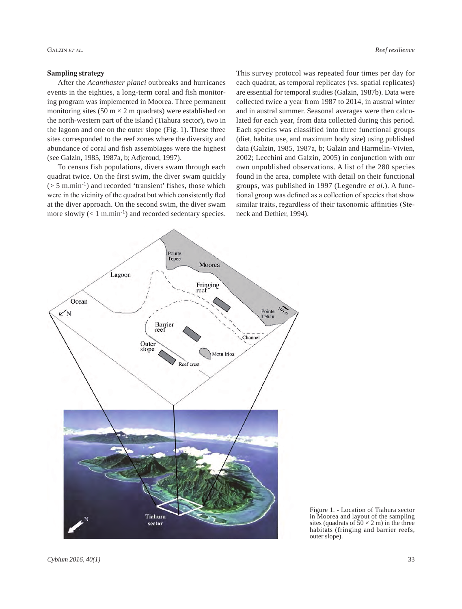# **Sampling strategy**

After the *Acanthaster planci* outbreaks and hurricanes events in the eighties, a long-term coral and fish monitoring program was implemented in Moorea. Three permanent monitoring sites (50 m  $\times$  2 m quadrats) were established on the north-western part of the island (Tiahura sector), two in the lagoon and one on the outer slope (Fig. 1). These three sites corresponded to the reef zones where the diversity and abundance of coral and fish assemblages were the highest (see Galzin, 1985, 1987a, b; Adjeroud, 1997).

To census fish populations, divers swam through each quadrat twice. On the first swim, the diver swam quickly  $($  > 5 m.min<sup>-1</sup> $)$  and recorded 'transient' fishes, those which were in the vicinity of the quadrat but which consistently fled at the diver approach. On the second swim, the diver swam more slowly  $(< 1 \text{ m.min}^{-1})$  and recorded sedentary species. This survey protocol was repeated four times per day for each quadrat, as temporal replicates (vs. spatial replicates) are essential for temporal studies (Galzin, 1987b). Data were collected twice a year from 1987 to 2014, in austral winter and in austral summer. Seasonal averages were then calculated for each year, from data collected during this period. Each species was classified into three functional groups (diet, habitat use, and maximum body size) using published data (Galzin, 1985, 1987a, b; Galzin and Harmelin-Vivien, 2002; Lecchini and Galzin, 2005) in conjunction with our own unpublished observations. A list of the 280 species found in the area, complete with detail on their functional groups, was published in 1997 (Legendre *et al.*). A functional group was defined as a collection of species that show similar traits, regardless of their taxonomic affinities (Steneck and Dethier, 1994).



Figure 1. - Location of Tiahura sector in Moorea and layout of the sampling sites (quadrats of  $50 \times 2$  m) in the three habitats (fringing and barrier reefs, outer slope).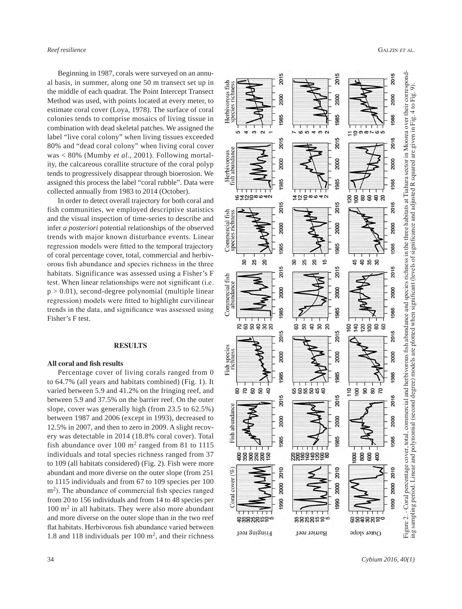Beginning in 1987, corals were surveyed on an annual basis, in summer, along one 50 m transect set up in the middle of each quadrat. The Point Intercept Transect Method was used, with points located at every meter, to estimate coral cover ( Loya, 1978). The surface of coral colonies tends to comprise mosaics of living tissue in combination with dead skeletal patches. We assigned the label "live coral colony" when living tissues exceeded 80% and "dead coral colony" when living coral cover was < 80% ( Mumby *et al.*, 2001). Following mortal ity, the calcareous corallite structure of the coral polyp tends to progressively disappear through bioerosion. We assigned this process the label "coral rubble". Data were collected annually from 1983 to 2014 ( October).

In order to detect overall trajectory for both coral and fish communities, we employed descriptive statistics and the visual inspection of time-series to describe and infer *a posteriori* potential relationships of the observed trends with major known disturbance events. Linear regression models were fitted to the temporal trajectory of coral percentage cover, total, commercial and herbiv orous fish abundance and species richness in the three habitats. Significance was assessed using a Fisher's F test. When linear relationships were not significant (i.e.  $p > 0.01$ ), second-degree polynomial (multiple linear regression) models were fitted to highlight curvilinear trends in the data, and significance was assessed using Fisher's F test.

### **RESULTS**

## **All coral and fish results**

Percentage cover of living corals ranged from 0 to 64.7% (all years and habitats combined) (Fig. 1). It varied between 5.9 and 41.2% on the fringing reef, and between 5.9 and 37.5% on the barrier reef. On the outer slope, cover was generally high (from 23.5 to 62.5%) between 1987 and 2006 (except in 1993), decreased to 12.5% in 2007, and then to zero in 2009. A slight recov ery was detectable in 2014 (18.8% coral cover). Total fish abundance over  $100 \text{ m}^2$  ranged from 81 to 1115 individuals and total species richness ranged from 37 to 109 (all habitats considered) (Fig. 2). Fish were more abundant and more diverse on the outer slope (from 251 to 1115 individuals and from 67 to 109 species per 100 m<sup>2</sup>). The abundance of commercial fish species ranged from 20 to 156 individuals and from 14 to 48 species per 100 m 2 in all habitats. They were also more abundant and more diverse on the outer slope than in the two reef flat habitats. Herbivorous fish abundance varied between 1.8 and 118 individuals per 100 m 2, and their richness

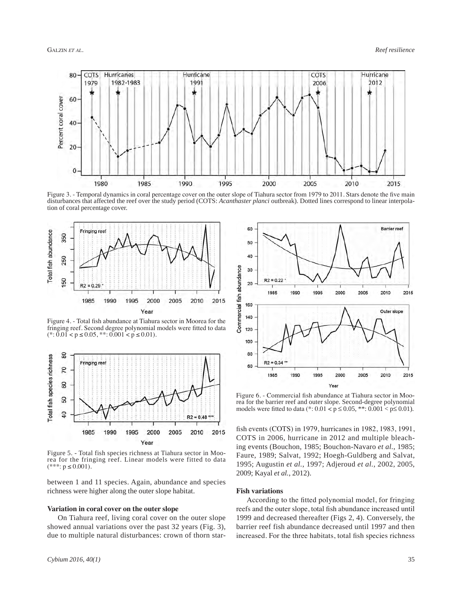

Figure 3. - Temporal dynamics in coral percentage cover on the outer slope of Tiahura sector from 1979 to 2011. Stars denote the five main disturbances that affected the reef over the study period (COTS: *Acanthaster planci* outbreak). Dotted lines correspond to linear interpolation of coral percentage cover.



Figure 4. - Total fish abundance at Tiahura sector in Moorea for the fringing reef. Second degree polynomial models were fitted to data  $(*: 0.01 < p \le 0.05, **: 0.001 < p \le 0.01).$ 



Figure 5. - Total fish species richness at Tiahura sector in Moorea for the fringing reef. Linear models were fitted to data  $(***: p \le 0.001).$ 

between 1 and 11 species. Again, abundance and species richness were higher along the outer slope habitat.

#### **Variation in coral cover on the outer slope**

On Tiahura reef, living coral cover on the outer slope showed annual variations over the past 32 years (Fig. 3), due to multiple natural disturbances: crown of thorn star-



Figure 6. - Commercial fish abundance at Tiahura sector in Moorea for the barrier reef and outer slope. Second-degree polynomial models were fitted to data (\*:  $0.01 < p \le 0.05$ , \*\*:  $0.001 < p \le 0.01$ ).

fish events (COTS) in 1979, hurricanes in 1982, 1983, 1991, COTS in 2006, hurricane in 2012 and multiple bleaching events (Bouchon, 1985; Bouchon-Navaro *et al.*, 1985; Faure, 1989; Salvat, 1992; Hoegh-Guldberg and Salvat, 1995; Augustin *et al.*, 1997; Adjeroud *et al.*, 2002, 2005, 2009; Kayal *et al.*, 2012).

### **Fish variations**

According to the fitted polynomial model, for fringing reefs and the outer slope, total fish abundance increased until 1999 and decreased thereafter (Figs 2, 4). Conversely, the barrier reef fish abundance decreased until 1997 and then increased. For the three habitats, total fish species richness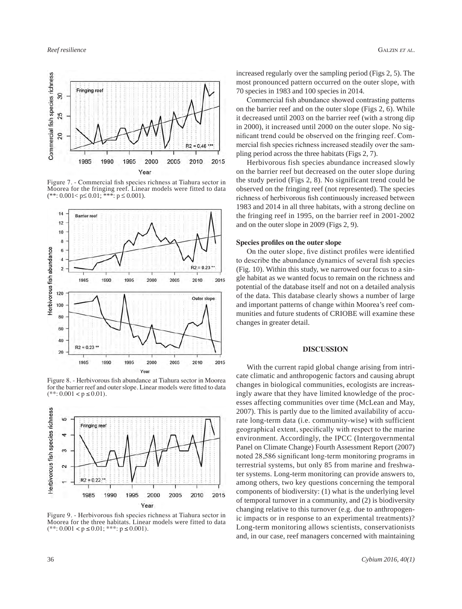

Figure 7. - Commercial fish species richness at Tiahura sector in Moorea for the fringing reef. Linear models were fitted to data  $(*\cdot: 0.001 < p \leq 0.01; \cdot^* \cdot \cdot; p \leq 0.001).$ 



Figure 8. - Herbivorous fish abundance at Tiahura sector in Moorea for the barrier reef and outer slope. Linear models were fitted to data  $(**: 0.001 < p \le 0.01).$ 



Figure 9. - Herbivorous fish species richness at Tiahura sector in Moorea for the three habitats. Linear models were fitted to data  $(**.0.001 < p \le 0.01; **: p \le 0.001).$ 

increased regularly over the sampling period (Figs 2, 5). The most pronounced pattern occurred on the outer slope, with 70 species in 1983 and 100 species in 2014.

Commercial fish abundance showed contrasting patterns on the barrier reef and on the outer slope (Figs 2, 6). While it decreased until 2003 on the barrier reef (with a strong dip in 2000), it increased until 2000 on the outer slope. No significant trend could be observed on the fringing reef. Commercial fish species richness increased steadily over the sampling period across the three habitats (Figs 2, 7).

Herbivorous fish species abundance increased slowly on the barrier reef but decreased on the outer slope during the study period (Figs 2, 8). No significant trend could be observed on the fringing reef (not represented). The species richness of herbivorous fish continuously increased between 1983 and 2014 in all three habitats, with a strong decline on the fringing reef in 1995, on the barrier reef in 2001-2002 and on the outer slope in 2009 (Figs 2, 9).

## **Species profiles on the outer slope**

On the outer slope, five distinct profiles were identified to describe the abundance dynamics of several fish species (Fig. 10). Within this study, we narrowed our focus to a single habitat as we wanted focus to remain on the richness and potential of the database itself and not on a detailed analysis of the data. This database clearly shows a number of large and important patterns of change within Moorea's reef communities and future students of CRIOBE will examine these changes in greater detail.

#### **DISCUSSION**

With the current rapid global change arising from intricate climatic and anthropogenic factors and causing abrupt changes in biological communities, ecologists are increasingly aware that they have limited knowledge of the processes affecting communities over time (McLean and May, 2007). This is partly due to the limited availability of accurate long-term data (i.e. community-wise) with sufficient geographical extent, specifically with respect to the marine environment. Accordingly, the IPCC (Intergovernmental Panel on Climate Change) Fourth Assessment Report (2007) noted 28,586 significant long-term monitoring programs in terrestrial systems, but only 85 from marine and freshwater systems. Long-term monitoring can provide answers to, among others, two key questions concerning the temporal components of biodiversity: (1) what is the underlying level of temporal turnover in a community, and (2) is biodiversity changing relative to this turnover (e.g. due to anthropogenic impacts or in response to an experimental treatments)? Long-term monitoring allows scientists, conservationists and, in our case, reef managers concerned with maintaining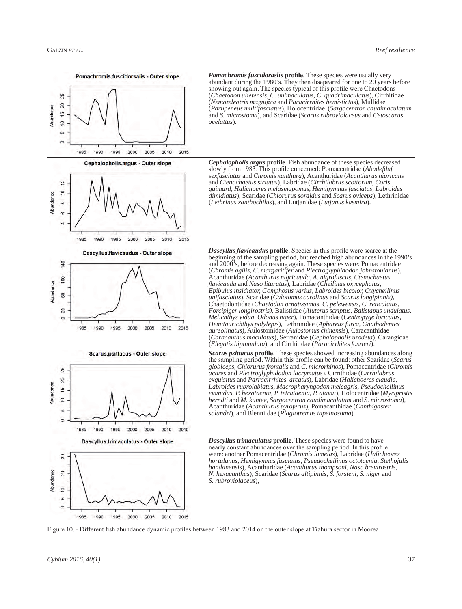

Pomachromis.fuscidorsalis - Outer slope

*Pomachromis fuscidoraslis* **profile**. These species were usually very abundant during the 1980's. They then disapeared for one to 20 years before showing out again. The species typical of this profile were Chaetodons (*Chaetodon ulietensis, C. unimaculatus, C. quadrimaculatus*), Cirrhitidae (*Nemateleotris magnifica* and *Paracirrhites hemistictus*), Mullidae (*Parupeneus multifasciatus*), Holocentridae (*Sargocentron caudimaculatum* and *S. microstoma*), and Scaridae (*Scarus rubroviolaceus* and *Cetoscarus ocelattus*).

*Cephalopholis argus* **profile**. Fish abundance of these species decreased slowly from 1983. This profile concerned: Pomacentridae (*Abudefduf sexfasciatus* and *Chromis xanthura*), Acanthuridae (*Acanthurus nigricans*  and *Ctenochaetus striatus*), Labridae (*Cirrhilabrus scottorum, Coris gaimard, Halichoeres melasmapomus, Hemigymnus fasciatus, Labroides dimidiatus*), Scaridae (*Chlorurus sordidus* and *Scarus oviceps*), Lethrinidae (*Lethrinus xanthochilus*), and Lutjanidae (*Lutjanus kasmira*).

*Dascyllus flavicaudus* **profile**. Species in this profile were scarce at the beginning of the sampling period, but reached high abundances in the 1990's and 2000's, before decreasing again. These species were: Pomacentridae (*Chromis agilis, C. margaritifer* and *Plectroglyphidodon johnstonianus*),











Acanthuridae (*Acanthurus nigricauda, A. nigrofuscus, Ctenochaetus flavicauda* and *Naso lituratus*), Labridae (*Cheilinus oxycephalus, Epibulus insidiator, Gomphosus varius, Labroides bicolor, Oxycheilinus unifasciatus*), Scaridae (*Calotomus carolinus* and *Scarus longipinnis),*  Chaetodontidae (*Chaetodon ornatissimus, C. pelewensis, C. reticulatus, Forcipiger longirostris)*, Balistidae (*Aluterus scriptus, Balistapus undulatus, Melichthys vidua, Odonus niger*), Pomacanthidae (*Centropyge loriculus, Hemitaurichthys polylepis*), Lethrinidae (*Aphareus furca, Gnathodentex aureolinatus*), Aulostomidae (*Aulostomus chinensis*), Caracanthidae (*Caracanthus maculatus*), Serranidae (*Cephalopholis urodeta*), Carangidae (*Elegatis bipinnulata*), and Cirrhitidae (*Paracirrhites fosrteri*). *Scarus psittacus* **profile**. These species showed increasing abundances along the sampling period. Within this profile can be found: other Scaridae (*Scarus globiceps, Chlorurus frontalis* and *C. microrhinos*), Pomacentridae (*Chromis* 

*acares* and *Plectroglyphidodon lacrymatus*), Cirrithidae (*Cirrhilabrus exquisitus* and *Parracirrhites arcatus*), Labridae (*Halichoeres claudia, Labroides rubrolabiatus, Macropharyngodon meleagris, Pseudocheilinus evanidus, P. hexataenia, P. tetrataenia, P. atavai*), Holocentridae (*Myripristis berndti* and *M. kuntee, Sargocentron caudimaculatum* and *S. microstoma*), Acanthuridae (*Acanthurus pyroferus*), Pomacanthidae (*Canthigaster solandri*), and Blenniidae (*Plagiotremus tapeinosoma*).

*Dascyllus trimaculatus* **profile**. These species were found to have nearly constant abundances over the sampling period. In this profile were: another Pomacentridae (*Chromis iomelas*), Labridae (*Halicheores hortulanus, Hemigymnus fasciatus, Pseudocheilinus octotaenia, Stethojulis bandanensis*), Acanthuridae (*Acanthurus thompsoni, Naso brevirostris, N. hexacanthus*), Scaridae (*Scarus altipinnis, S. forsteni, S. niger* and *S. rubroviolaceus*),

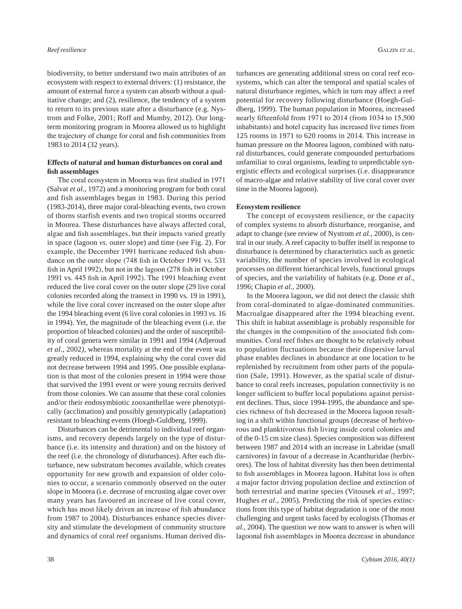biodiversity, to better understand two main attributes of an ecosystem with respect to external drivers: (1) resistance, the amount of external force a system can absorb without a qualitative change; and (2), resilience, the tendency of a system to return to its previous state after a disturbance (e.g. Nystrom and Folke, 2001; Roff and Mumby, 2012). Our longterm monitoring program in Moorea allowed us to highlight the trajectory of change for coral and fish communities from 1983 to 2014 (32 years).

# **Effects of natural and human disturbances on coral and fish assemblages**

The coral ecosystem in Moorea was first studied in 1971 (Salvat *et al*., 1972) and a monitoring program for both coral and fish assemblages began in 1983. During this period (1983-2014), three major coral-bleaching events, two crown of thorns starfish events and two tropical storms occurred in Moorea. These disturbances have always affected coral, algae and fish assemblages, but their impacts varied greatly in space (lagoon *vs.* outer slope) and time (see Fig. 2). For example, the December 1991 hurricane reduced fish abundance on the outer slope (748 fish in October 1991 vs*.* 531 fish in April 1992), but not in the lagoon (278 fish in October 1991 vs*.* 445 fish in April 1992). The 1991 bleaching event reduced the live coral cover on the outer slope (29 live coral colonies recorded along the transect in 1990 vs*.* 19 in 1991), while the live coral cover increased on the outer slope after the 1994 bleaching event (6 live coral colonies in 1993 *vs.* 16 in 1994). Yet, the magnitude of the bleaching event (i.e. the proportion of bleached colonies) and the order of susceptibility of coral genera were similar in 1991 and 1994 (Adjeroud *et al.*, 2002*)*, whereas mortality at the end of the event was greatly reduced in 1994, explaining why the coral cover did not decrease between 1994 and 1995. One possible explanation is that most of the colonies present in 1994 were those that survived the 1991 event or were young recruits derived from those colonies. We can assume that these coral colonies and/or their endosymbiotic zooxanthellae were phenotypically (acclimation) and possibly genotypically (adaptation) resistant to bleaching events (Hoegh-Guldberg, 1999).

Disturbances can be detrimental to individual reef organisms, and recovery depends largely on the type of disturbance (i.e. its intensity and duration) and on the history of the reef (i.e. the chronology of disturbances). After each disturbance, new substratum becomes available, which creates opportunity for new growth and expansion of older colonies to occur, a scenario commonly observed on the outer slope in Moorea (i.e. decrease of encrusting algae cover over many years has favoured an increase of live coral cover, which has most likely driven an increase of fish abundance from 1987 to 2004). Disturbances enhance species diversity and stimulate the development of community structure and dynamics of coral reef organisms. Human derived disturbances are generating additional stress on coral reef ecosystems, which can alter the temporal and spatial scales of natural disturbance regimes, which in turn may affect a reef potential for recovery following disturbance (Hoegh-Guldberg, 1999). The human population in Moorea, increased nearly fifteenfold from 1971 to 2014 (from 1034 to 15,500 inhabitants) and hotel capacity has increased five times from 125 rooms in 1971 to 620 rooms in 2014. This increase in human pressure on the Moorea lagoon, combined with natural disturbances, could generate compounded perturbations unfamiliar to coral organisms, leading to unpredictable synergistic effects and ecological surprises (i.e. disappearance of macro-algae and relative stability of live coral cover over time in the Moorea lagoon).

# **Ecosystem resilience**

The concept of ecosystem resilience, or the capacity of complex systems to absorb disturbance, reorganise, and adapt to change (see review of Nystrom *et al.*, 2000), is central in our study. A reef capacity to buffer itself in response to disturbance is determined by characteristics such as genetic variability, the number of species involved in ecological processes on different hierarchical levels, functional groups of species, and the variability of habitats (e.g. Done *et al.*, 1996; Chapin *et al.*, 2000).

In the Moorea lagoon, we did not detect the classic shift from coral-dominated to algae-dominated communities. Macroalgae disappeared after the 1994 bleaching event. This shift in habitat assemblage is probably responsible for the changes in the composition of the associated fish communities. Coral reef fishes are thought to be relatively robust to population fluctuations because their dispersive larval phase enables declines in abundance at one location to be replenished by recruitment from other parts of the population (Sale, 1991). However, as the spatial scale of disturbance to coral reefs increases, population connectivity is no longer sufficient to buffer local populations against persistent declines. Thus, since 1994-1995, the abundance and species richness of fish decreased in the Moorea lagoon resulting in a shift within functional groups (decrease of herbivorous and planktivorous fish living inside coral colonies and of the 0-15 cm size class). Species composition was different between 1987 and 2014 with an increase in Labridae (small carnivores) in favour of a decrease in Acanthuridae (herbivores). The loss of habitat diversity has then been detrimental to fish assemblages in Moorea lagoon. Habitat loss is often a major factor driving population decline and extinction of both terrestrial and marine species (Vitousek *et al*., 1997; Hughes *et al*., 2005). Predicting the risk of species extinctions from this type of habitat degradation is one of the most challenging and urgent tasks faced by ecologists (Thomas *et al.,* 2004). The question we now want to answer is when will lagoonal fish assemblages in Moorea decrease in abundance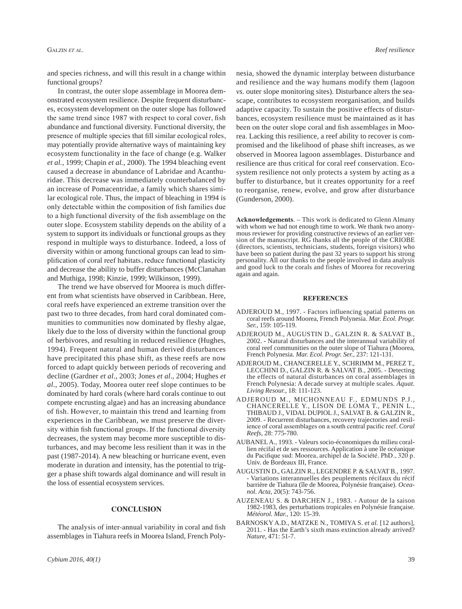and species richness, and will this result in a change within functional groups?

In contrast, the outer slope assemblage in Moorea demonstrated ecosystem resilience. Despite frequent disturbances, ecosystem development on the outer slope has followed the same trend since 1987 with respect to coral cover, fish abundance and functional diversity. Functional diversity, the presence of multiple species that fill similar ecological roles, may potentially provide alternative ways of maintaining key ecosystem functionality in the face of change (e.g. Walker *et al.*, 1999; Chapin *et al.*, 2000). The 1994 bleaching event caused a decrease in abundance of Labridae and Acanthuridae. This decrease was immediately counterbalanced by an increase of Pomacentridae, a family which shares similar ecological role. Thus, the impact of bleaching in 1994 is only detectable within the composition of fish families due to a high functional diversity of the fish assemblage on the outer slope. Ecosystem stability depends on the ability of a system to support its individuals or functional groups as they respond in multiple ways to disturbance. Indeed, a loss of diversity within or among functional groups can lead to simplification of coral reef habitats, reduce functional plasticity and decrease the ability to buffer disturbances (McClanahan and Muthiga, 1998; Kinzie, 1999; Wilkinson, 1999).

The trend we have observed for Moorea is much different from what scientists have observed in Caribbean. Here, coral reefs have experienced an extreme transition over the past two to three decades, from hard coral dominated communities to communities now dominated by fleshy algae, likely due to the loss of diversity within the functional group of herbivores, and resulting in reduced resilience (Hughes, 1994). Frequent natural and human derived disturbances have precipitated this phase shift, as these reefs are now forced to adapt quickly between periods of recovering and decline (Gardner *et al*., 2003; Jones *et al*., 2004; Hughes *et al*., 2005). Today, Moorea outer reef slope continues to be dominated by hard corals (where hard corals continue to out compete encrusting algae) and has an increasing abundance of fish. However, to maintain this trend and learning from experiences in the Caribbean, we must preserve the diversity within fish functional groups. If the functional diversity decreases, the system may become more susceptible to disturbances, and may become less resilient than it was in the past (1987-2014). A new bleaching or hurricane event, even moderate in duration and intensity, has the potential to trigger a phase shift towards algal dominance and will result in the loss of essential ecosystem services.

#### **Conclusion**

The analysis of inter-annual variability in coral and fish assemblages in Tiahura reefs in Moorea Island, French Polynesia, showed the dynamic interplay between disturbance and resilience and the way humans modify them (lagoon *vs.* outer slope monitoring sites). Disturbance alters the seascape, contributes to ecosystem reorganisation, and builds adaptive capacity. To sustain the positive effects of disturbances, ecosystem resilience must be maintained as it has been on the outer slope coral and fish assemblages in Moorea. Lacking this resilience, a reef ability to recover is compromised and the likelihood of phase shift increases, as we observed in Moorea lagoon assemblages. Disturbance and resilience are thus critical for coral reef conservation. Ecosystem resilience not only protects a system by acting as a buffer to disturbance, but it creates opportunity for a reef to reorganise, renew, evolve, and grow after disturbance (Gunderson, 2000).

**Acknowledgements**. – This work is dedicated to Glenn Almany with whom we had not enough time to work. We thank two anonymous reviewer for providing constructive reviews of an earlier version of the manuscript. RG thanks all the people of the CRIOBE (directors, scientists, technicians, students, foreign visitors) who have been so patient during the past 32 years to support his strong personality. All our thanks to the people involved in data analysis and good luck to the corals and fishes of Moorea for recovering again and again.

#### **References**

- ADJEROUD M., 1997. Factors influencing spatial patterns on coral reefs around Moorea, French Polynesia. *Mar. Ecol. Progr. Ser.,* 159: 105-119.
- ADJEROUD M., AUGUSTIN D., GALZIN R. & SALVAT B., 2002. - Natural disturbances and the interannual variability of coral reef communities on the outer slope of Tiahura (Moorea, French Polynesia. *Mar. Ecol. Progr. Ser.,* 237: 121-131.
- Adjeroud M., Chancerelle Y., Schrimm M., Perez T., Lecchini D., Galzin R. & Salvat B., 2005. - Detecting the effects of natural disturbances on coral assemblages in French Polynesia: A decade survey at multiple scales. *Aquat. Living Resour.*, 18: 111-123.
- Adjeroud M., MICHONNEAU F., EDMUNDS P.J., Chancerelle Y., LISON DE LOMA T., PENIN L., THIBAUD J., VIDAL DUPIOL J., SALVAT B. & Galzin R., 2009. - Recurrent disturbances, recovery trajectories and resilience of coral assemblages on a south central pacific reef. *Coral Reefs,* 28: 775-780.
- Aubanel A., 1993. Valeurs socio-économiques du milieu corallien récifal et de ses ressources. Application à une île océanique du Pacifique sud: Moorea, archipel de la Société. PhD., 320 p. Univ. de Bordeaux III, France.
- AUGUSTIN D., GALZIN R., LEGENDRE P. & SALVAT B., 1997. Variations interannuelles des peuplements récifaux du récif barrière de Tiahura (île de Moorea, Polynésie française). *Oceanol. Acta,* 20(5): 743-756.
- Auzeneau S. & Darchen J., 1983. Autour de la saison 1982-1983, des perturbations tropicales en Polynésie française. *Météorol. Mar.*, 120: 15-39.
- BARNOSKY A.D., MATZKE N., TOMIYA S. *et al.* [12 authors], 2011. - Has the Earth's sixth mass extinction already arrived? *Nature,* 471: 51-7.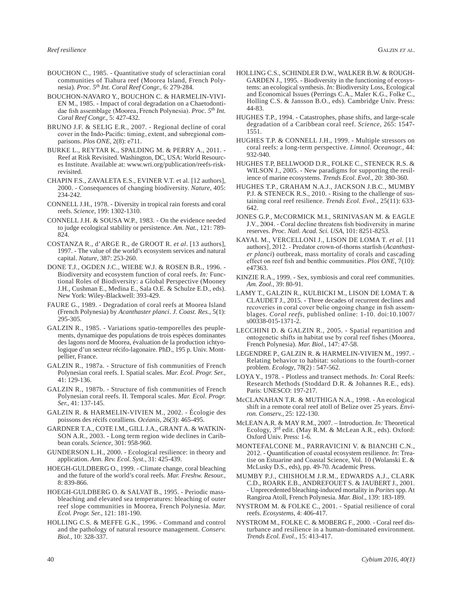- BOUCHON C., 1985. Quantitative study of scleractinian coral communities of Tiahura reef (Moorea Island, French Polynesia). *Proc. 5th Int. Coral Reef Congr.,* 6: 279-284.
- BOUCHON-NAVARO Y., BOUCHON C. & HARMELIN-VIVI-EN M., 1985. - Impact of coral degradation on a Chaetodontidae fish assemblage (Moorea, French Polynesia). *Proc. 5th Int. Coral Reef Congr.,* 5: 427-432.
- BRUNO J.F. & SELIG E.R., 2007. Regional decline of coral cover in the Indo-Pacific: timing, extent, and subregional comparisons. *Plos ONE,* 2(8): e711.
- Burke L., Reytar K., Spalding M. & Perry A., 2011. Reef at Risk Revisited. Washington, DC, USA: World Resources Institute. Available at: www.wri.org/publication/reefs-riskrevisited.
- CHAPIN F.S., ZAVALETA E.S., EVINER V.T. et al. [12 authors], 2000. - Consequences of changing biodiversity. *Nature*, 405: 234-242.
- CONNELL J.H., 1978. Diversity in tropical rain forests and coral reefs. *Science*, 199: 1302-1310.
- CONNELL J.H. & SOUSA W.P., 1983. On the evidence needed to judge ecological stability or persistence. *Am. Nat.*, 121: 789- 824.
- COSTANZA R., d'ARGE R., de GROOT R. *et al*. [13 authors], 1997. - The value of the world's ecosystem services and natural capital. *Nature,* 387: 253-260.
- DONE T.J., OGDEN J.C., WIEBE W.J. & ROSEN B.R., 1996. -Biodiversity and ecosystem function of coral reefs. *In:* Functional Roles of Biodiversity: a Global Perspective (Mooney J.H., Cushman E., Medina E., Sala O.E. & Schulze E.D., eds). New York: Wiley-Blackwell: 393-429.
- FAURE G., 1989. Degradation of coral reefs at Moorea Island (French Polynesia) by *Acanthaster planci*. *J. Coast. Res.,* 5(1): 295-305.
- Galzin R., 1985. Variations spatio-temporelles des peuplements, dynamique des populations de trois espèces dominantes des lagons nord de Moorea, évaluation de la production ichtyologique d'un secteur récifo-lagonaire. PhD., 195 p. Univ. Montpellier, France.
- Galzin R., 1987a. Structure of fish communities of French Polynesian coral reefs. I. Spatial scales. *Mar. Ecol. Progr. Ser.,* 41: 129-136.
- Galzin R., 1987b. Structure of fish communities of French Polynesian coral reefs. II. Temporal scales. *Mar. Ecol. Progr. Ser.,* 41: 137-145.
- GALZIN R. & HARMELIN-VIVIEN M., 2002. Écologie des poissons des récifs coralliens. *Océanis,* 26(3): 465-495.
- GARDNER T.A., COTE I.M., GILL J.A., GRANT A. & WATKIN-SON A.R., 2003. - Long term region wide declines in Caribbean corals. *Science,* 301: 958-960.
- GUNDERSON L.H., 2000. Ecological resilience: in theory and application. *Ann. Rev. Ecol. Syst.*, 31: 425-439.
- HOEGH-GULDBERG O., 1999. Climate change, coral bleaching and the future of the world's coral reefs. *Mar. Freshw. Resour.*, 8: 839-866.
- Hoegh-Guldberg O. & SALVAT B., 1995. Periodic massbleaching and elevated sea temperatures: bleaching of outer reef slope communities in Moorea, French Polynesia. *Mar. Ecol. Progr. Ser.,* 121: 181-190.
- Holling C.S. & Meffe G.K., 1996. Command and control and the pathology of natural resource management. *Conserv. Biol.*, 10: 328-337.
- Holling C.S., Schindler D.W., Walker B.W. & Rough-GARDEN J., 1995. - Biodiversity in the functioning of ecosystems: an ecological synthesis. *In:* Biodiversity Loss, Ecological and Economical Issues (Perrings C.A., Maler K.G., Folke C., Holling C.S. & Jansson B.O., eds). Cambridge Univ. Press: 44-83.
- Hughes T.P., 1994. Catastrophes, phase shifts, and large-scale degradation of a Caribbean coral reef. *Science*, 265: 1547- 1551.
- HUGHES T.P. & CONNELL J.H., 1999. Multiple stressors on coral reefs: a long-term perspective. *Limnol. Oceanogr.*, 44: 932-940.
- HUGHES T.P, BELLWOOD D.R., FOLKE C., STENECK R.S. & WILSON J., 2005. - New paradigms for supporting the resilience of marine ecosystems. *Trends Ecol. Evol*., 20: 380-360.
- HUGHES T.P., GRAHAM N.A.J., JACKSON J.B.C., MUMBY P.J. & STENECK R.S., 2010. - Rising to the challenge of sustaining coral reef resilience. *Trends Ecol. Evol.*, 25(11): 633- 642.
- JONES G.P., McCORMICK M.I., SRINIVASAN M. & EAGLE J.V., 2004. - Coral decline threatens fish biodiversity in marine reserves. *Proc. Natl. Acad. Sci. USA*, 101: 8251-8253.
- KAYAL M., VERCELLONI J., LISON DE LOMA T. *et al.* [11 authors], 2012. - Predator crown-of-thorns starfish (*Acanthaster planci*) outbreak, mass mortality of corals and cascading effect on reef fish and benthic communities. *Plos ONE,* 7(10): e47363.
- Kinzie R.A., 1999. Sex, symbiosis and coral reef communities. *Am. Zool.*, 39: 80-91.
- Lamy T., GALZIN R., KULBICKI M., LISON DE LOMA T. & CLAUDET J., 2015. - Three decades of recurrent declines and recoveries in coral cover belie ongoing change in fish assemblages. *Coral reefs*, published online: 1-10. doi:10.1007/ s00338-015-1371-2.
- LECCHINI D. & GALZIN R., 2005. Spatial repartition and ontogenetic shifts in habitat use by coral reef fishes (Moorea, French Polynesia). *Mar. Biol.*, 147: 47-58.
- LEGENDRE P., GALZIN R. & HARMELIN-VIVIEN M., 1997. Relating behavior to habitat: solutions to the fourth-corner problem. *Ecology*, 78(2) : 547-562.
- Loya Y., 1978. Plotless and transect methods. *In:* Coral Reefs: Research Methods (Stoddard D.R. & Johannes R.E., eds). Paris: UNESCO: 197-217.
- McClanahan T.R. & Muthiga N.A., 1998. An ecological shift in a remote coral reef atoll of Belize over 25 years. *Environ. Conserv.*, 25: 122-130.
- McLEAN A.R. & MAY R.M., 2007. Introduction. *In:* Theoretical Ecology, 3rd edit. (May R.M. & McLean A.R., eds). Oxford: Oxford Univ. Press: 1-6.
- Montefalcone M., Parravicini V. & Bianchi C.N., 2012. - Quantification of coastal ecosystem resilience. *In*: Treatise on Estuarine and Coastal Science, Vol. 10 (Wolanski E. & McLusky D.S., eds), pp. 49-70. Academic Press.
- Mumby P.J., Chisholm J.R.M., Edwards A.J., Clark C.D., Roark E.B., Andrefouet S. & Jaubert J., 2001. - Unprecedented bleaching-induced mortality in *Porites* spp. At Rangiroa Atoll, French Polynesia. *Mar. Biol.*, 139: 183-189.
- NYSTROM M. & FOLKE C., 2001. Spatial resilience of coral reefs. *Ecosystems,* 4: 406-417.
- Nystrom M., Folke C. & Moberg F., 2000. Coral reef disturbance and resilience in a human-dominated environment. *Trends Ecol. Evol.*, 15: 413-417.